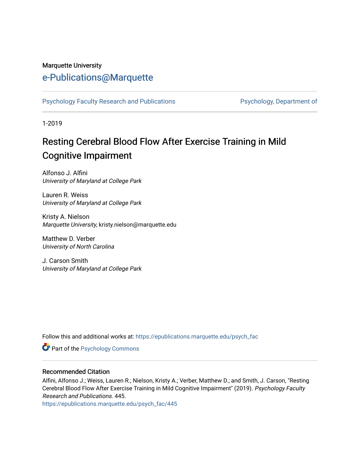#### Marquette University

# [e-Publications@Marquette](https://epublications.marquette.edu/)

[Psychology Faculty Research and Publications](https://epublications.marquette.edu/psych_fac) **Providence Psychology, Department of** 

1-2019

# Resting Cerebral Blood Flow After Exercise Training in Mild Cognitive Impairment

Alfonso J. Alfini University of Maryland at College Park

Lauren R. Weiss University of Maryland at College Park

Kristy A. Nielson Marquette University, kristy.nielson@marquette.edu

Matthew D. Verber University of North Carolina

J. Carson Smith University of Maryland at College Park

Follow this and additional works at: [https://epublications.marquette.edu/psych\\_fac](https://epublications.marquette.edu/psych_fac?utm_source=epublications.marquette.edu%2Fpsych_fac%2F445&utm_medium=PDF&utm_campaign=PDFCoverPages)

**Part of the Psychology Commons** 

#### Recommended Citation

Alfini, Alfonso J.; Weiss, Lauren R.; Nielson, Kristy A.; Verber, Matthew D.; and Smith, J. Carson, "Resting Cerebral Blood Flow After Exercise Training in Mild Cognitive Impairment" (2019). Psychology Faculty Research and Publications. 445.

[https://epublications.marquette.edu/psych\\_fac/445](https://epublications.marquette.edu/psych_fac/445?utm_source=epublications.marquette.edu%2Fpsych_fac%2F445&utm_medium=PDF&utm_campaign=PDFCoverPages)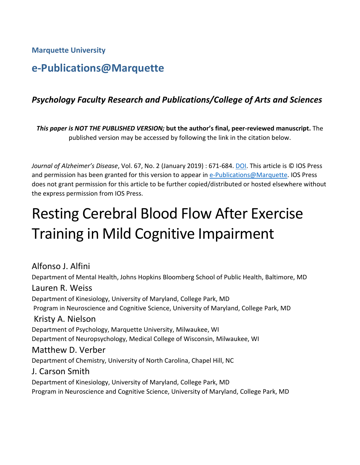**Marquette University**

# **e-Publications@Marquette**

# *Psychology Faculty Research and Publications/College of Arts and Sciences*

*This paper is NOT THE PUBLISHED VERSION;* **but the author's final, peer-reviewed manuscript.** The published version may be accessed by following the link in the citation below.

*Journal of Alzheimer's Disease*, Vol. 67, No. 2 (January 2019) : 671-684. [DOI.](https://content.iospress.com/articles/journal-of-alzheimers-disease/jad180728) This article is © IOS Press and permission has been granted for this version to appear in [e-Publications@Marquette.](http://epublications.marquette.edu/) IOS Press does not grant permission for this article to be further copied/distributed or hosted elsewhere without the express permission from IOS Press.

# Resting Cerebral Blood Flow After Exercise Training in Mild Cognitive Impairment

Alfonso J. Alfini Department of Mental Health, Johns Hopkins Bloomberg School of Public Health, Baltimore, MD Lauren R. Weiss Department of Kinesiology, University of Maryland, College Park, MD Program in Neuroscience and Cognitive Science, University of Maryland, College Park, MD Kristy A. Nielson Department of Psychology, Marquette University, Milwaukee, WI Department of Neuropsychology, Medical College of Wisconsin, Milwaukee, WI Matthew D. Verber Department of Chemistry, University of North Carolina, Chapel Hill, NC J. Carson Smith Department of Kinesiology, University of Maryland, College Park, MD Program in Neuroscience and Cognitive Science, University of Maryland, College Park, MD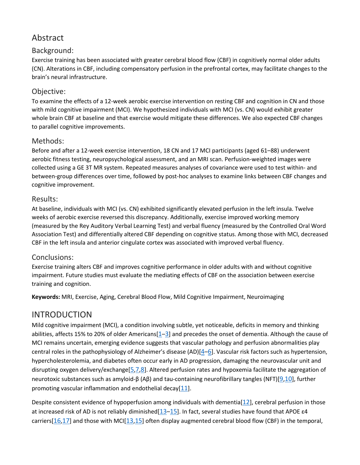# Abstract

# Background:

Exercise training has been associated with greater cerebral blood flow (CBF) in cognitively normal older adults (CN). Alterations in CBF, including compensatory perfusion in the prefrontal cortex, may facilitate changes to the brain's neural infrastructure.

# Objective:

To examine the effects of a 12-week aerobic exercise intervention on resting CBF and cognition in CN and those with mild cognitive impairment (MCI). We hypothesized individuals with MCI (vs. CN) would exhibit greater whole brain CBF at baseline and that exercise would mitigate these differences. We also expected CBF changes to parallel cognitive improvements.

# Methods:

Before and after a 12-week exercise intervention, 18 CN and 17 MCI participants (aged 61–88) underwent aerobic fitness testing, neuropsychological assessment, and an MRI scan. Perfusion-weighted images were collected using a GE 3T MR system. Repeated measures analyses of covariance were used to test within- and between-group differences over time, followed by post-hoc analyses to examine links between CBF changes and cognitive improvement.

## Results:

At baseline, individuals with MCI (vs. CN) exhibited significantly elevated perfusion in the left insula. Twelve weeks of aerobic exercise reversed this discrepancy. Additionally, exercise improved working memory (measured by the Rey Auditory Verbal Learning Test) and verbal fluency (measured by the Controlled Oral Word Association Test) and differentially altered CBF depending on cognitive status. Among those with MCI, decreased CBF in the left insula and anterior cingulate cortex was associated with improved verbal fluency.

# Conclusions:

Exercise training alters CBF and improves cognitive performance in older adults with and without cognitive impairment. Future studies must evaluate the mediating effects of CBF on the association between exercise training and cognition.

**Keywords:** MRI, Exercise, Aging, Cerebral Blood Flow, Mild Cognitive Impairment, Neuroimaging

# INTRODUCTION

Mild cognitive impairment (MCI), a condition involving subtle, yet noticeable, deficits in memory and thinking abilities, affects 15% to 20% of older Americans[\[1–](https://www.ncbi.nlm.nih.gov/pmc/articles/PMC6444938/#R1)[3\]](https://www.ncbi.nlm.nih.gov/pmc/articles/PMC6444938/#R3) and precedes the onset of dementia. Although the cause of MCI remains uncertain, emerging evidence suggests that vascular pathology and perfusion abnormalities play central roles in the pathophysiology of Alzheimer's disease (AD)[\[4](https://www.ncbi.nlm.nih.gov/pmc/articles/PMC6444938/#R4)[–6\]](https://www.ncbi.nlm.nih.gov/pmc/articles/PMC6444938/#R6). Vascular risk factors such as hypertension, hypercholesterolemia, and diabetes often occur early in AD progression, damaging the neurovascular unit and disrupting oxygen delivery/exchange[\[5](https://www.ncbi.nlm.nih.gov/pmc/articles/PMC6444938/#R5)[,7](https://www.ncbi.nlm.nih.gov/pmc/articles/PMC6444938/#R7)[,8\]](https://www.ncbi.nlm.nih.gov/pmc/articles/PMC6444938/#R8). Altered perfusion rates and hypoxemia facilitate the aggregation of neurotoxic substances such as amyloid-β (Aβ) and tau-containing neurofibrillary tangles (NFT)[\[9](https://www.ncbi.nlm.nih.gov/pmc/articles/PMC6444938/#R9)[,10\]](https://www.ncbi.nlm.nih.gov/pmc/articles/PMC6444938/#R10), further promoting vascular inflammation and endothelial decay[\[11\]](https://www.ncbi.nlm.nih.gov/pmc/articles/PMC6444938/#R11).

Despite consistent evidence of hypoperfusion among individuals with dementia[\[12\]](https://www.ncbi.nlm.nih.gov/pmc/articles/PMC6444938/#R12), cerebral perfusion in those at increased risk of AD is not reliably diminished[\[13–](https://www.ncbi.nlm.nih.gov/pmc/articles/PMC6444938/#R13)[15\]](https://www.ncbi.nlm.nih.gov/pmc/articles/PMC6444938/#R15). In fact, several studies have found that APOE ε4 carriers[\[16,](https://www.ncbi.nlm.nih.gov/pmc/articles/PMC6444938/#R16)[17\]](https://www.ncbi.nlm.nih.gov/pmc/articles/PMC6444938/#R17) and those with MCI[\[13](https://www.ncbi.nlm.nih.gov/pmc/articles/PMC6444938/#R13)[,15\]](https://www.ncbi.nlm.nih.gov/pmc/articles/PMC6444938/#R15) often display augmented cerebral blood flow (CBF) in the temporal,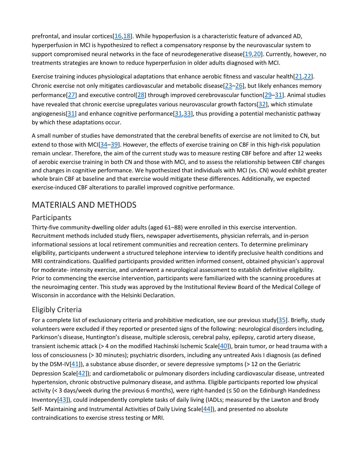prefrontal, and insular cortices[\[16](https://www.ncbi.nlm.nih.gov/pmc/articles/PMC6444938/#R16)[,18\]](https://www.ncbi.nlm.nih.gov/pmc/articles/PMC6444938/#R18). While hypoperfusion is a characteristic feature of advanced AD, hyperperfusion in MCI is hypothesized to reflect a compensatory response by the neurovascular system to support compromised neural networks in the face of neurodegenerative disease[\[19](https://www.ncbi.nlm.nih.gov/pmc/articles/PMC6444938/#R19)[,20\]](https://www.ncbi.nlm.nih.gov/pmc/articles/PMC6444938/#R20). Currently, however, no treatments strategies are known to reduce hyperperfusion in older adults diagnosed with MCI.

Exercise training induces physiological adaptations that enhance aerobic fitness and vascular health[\[21](https://www.ncbi.nlm.nih.gov/pmc/articles/PMC6444938/#R21)[,22\]](https://www.ncbi.nlm.nih.gov/pmc/articles/PMC6444938/#R22). Chronic exercise not only mitigates cardiovascular and metabolic disease $[23-26]$  $[23-26]$ , but likely enhances memory performance[\[27\]](https://www.ncbi.nlm.nih.gov/pmc/articles/PMC6444938/#R27) and executive control[\[28\]](https://www.ncbi.nlm.nih.gov/pmc/articles/PMC6444938/#R28) through improved cerebrovascular function[\[29](https://www.ncbi.nlm.nih.gov/pmc/articles/PMC6444938/#R29)[–31\]](https://www.ncbi.nlm.nih.gov/pmc/articles/PMC6444938/#R31). Animal studies have revealed that chronic exercise upregulates various neurovascular growth factors[\[32\]](https://www.ncbi.nlm.nih.gov/pmc/articles/PMC6444938/#R32), which stimulate angiogenesis[ $31$ ] and enhance cognitive performance[ $31,33$ ], thus providing a potential mechanistic pathway by which these adaptations occur.

A small number of studies have demonstrated that the cerebral benefits of exercise are not limited to CN, but extend to those with MCI[\[34](https://www.ncbi.nlm.nih.gov/pmc/articles/PMC6444938/#R34)[–39\]](https://www.ncbi.nlm.nih.gov/pmc/articles/PMC6444938/#R39). However, the effects of exercise training on CBF in this high-risk population remain unclear. Therefore, the aim of the current study was to measure resting CBF before and after 12 weeks of aerobic exercise training in both CN and those with MCI, and to assess the relationship between CBF changes and changes in cognitive performance. We hypothesized that individuals with MCI (vs. CN) would exhibit greater whole brain CBF at baseline and that exercise would mitigate these differences. Additionally, we expected exercise-induced CBF alterations to parallel improved cognitive performance.

# MATERIALS AND METHODS

#### Participants

Thirty-five community-dwelling older adults (aged 61–88) were enrolled in this exercise intervention. Recruitment methods included study fliers, newspaper advertisements, physician referrals, and in-person informational sessions at local retirement communities and recreation centers. To determine preliminary eligibility, participants underwent a structured telephone interview to identify preclusive health conditions and MRI contraindications. Qualified participants provided written informed consent, obtained physician's approval for moderate- intensity exercise, and underwent a neurological assessment to establish definitive eligibility. Prior to commencing the exercise intervention, participants were familiarized with the scanning procedures at the neuroimaging center. This study was approved by the Institutional Review Board of the Medical College of Wisconsin in accordance with the Helsinki Declaration.

#### Eligibly Criteria

For a complete list of exclusionary criteria and prohibitive medication, see our previous study[\[35\]](https://www.ncbi.nlm.nih.gov/pmc/articles/PMC6444938/#R35). Briefly, study volunteers were excluded if they reported or presented signs of the following: neurological disorders including, Parkinson's disease, Huntington's disease, multiple sclerosis, cerebral palsy, epilepsy, carotid artery disease, transient ischemic attack (> 4 on the modified Hachinski Ischemic Scale[\[40\]](https://www.ncbi.nlm.nih.gov/pmc/articles/PMC6444938/#R40)), brain tumor, or head trauma with a loss of consciousness (> 30 minutes); psychiatric disorders, including any untreated Axis I diagnosis (as defined by the DSM-IV $[41]$ , a substance abuse disorder, or severe depressive symptoms (> 12 on the Geriatric Depression Scale[\[42\]](https://www.ncbi.nlm.nih.gov/pmc/articles/PMC6444938/#R42)); and cardiometabolic or pulmonary disorders including cardiovascular disease, untreated hypertension, chronic obstructive pulmonary disease, and asthma. Eligible participants reported low physical activity (< 3 days/week during the previous 6 months), were right-handed (≤ 50 on the Edinburgh Handedness Inventory[\[43\]](https://www.ncbi.nlm.nih.gov/pmc/articles/PMC6444938/#R43)), could independently complete tasks of daily living (IADLs; measured by the Lawton and Brody Self- Maintaining and Instrumental Activities of Daily Living Scale[\[44\]](https://www.ncbi.nlm.nih.gov/pmc/articles/PMC6444938/#R44)), and presented no absolute contraindications to exercise stress testing or MRI.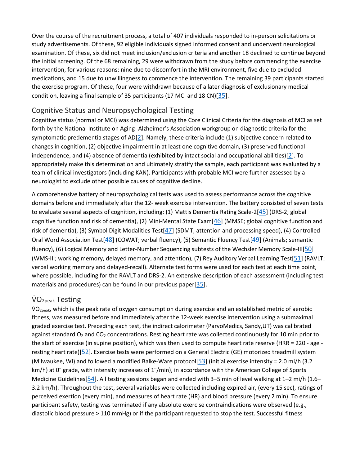Over the course of the recruitment process, a total of 407 individuals responded to in-person solicitations or study advertisements. Of these, 92 eligible individuals signed informed consent and underwent neurological examination. Of these, six did not meet inclusion/exclusion criteria and another 18 declined to continue beyond the initial screening. Of the 68 remaining, 29 were withdrawn from the study before commencing the exercise intervention, for various reasons: nine due to discomfort in the MRI environment, five due to excluded medications, and 15 due to unwillingness to commence the intervention. The remaining 39 participants started the exercise program. Of these, four were withdrawn because of a later diagnosis of exclusionary medical condition, leaving a final sample of 35 participants (17 MCI and 18 CN)[\[35\]](https://www.ncbi.nlm.nih.gov/pmc/articles/PMC6444938/#R35).

#### Cognitive Status and Neuropsychological Testing

Cognitive status (normal or MCI) was determined using the Core Clinical Criteria for the diagnosis of MCI as set forth by the National Institute on Aging- Alzheimer's Association workgroup on diagnostic criteria for the symptomatic predementia stages of AD $[2]$ . Namely, these criteria include (1) subjective concern related to changes in cognition, (2) objective impairment in at least one cognitive domain, (3) preserved functional independence, and (4) absence of dementia (exhibited by intact social and occupational abilities)[\[2\]](https://www.ncbi.nlm.nih.gov/pmc/articles/PMC6444938/#R2). To appropriately make this determination and ultimately stratify the sample, each participant was evaluated by a team of clinical investigators (including KAN). Participants with probable MCI were further assessed by a neurologist to exclude other possible causes of cognitive decline.

A comprehensive battery of neuropsychological tests was used to assess performance across the cognitive domains before and immediately after the 12- week exercise intervention. The battery consisted of seven tests to evaluate several aspects of cognition, including: (1) Mattis Dementia Rating Scale-2[\[45\]](https://www.ncbi.nlm.nih.gov/pmc/articles/PMC6444938/#R45) (DRS-2; global cognitive function and risk of dementia), (2) Mini-Mental State Exam[\[46\]](https://www.ncbi.nlm.nih.gov/pmc/articles/PMC6444938/#R46) (MMSE; global cognitive function and risk of dementia), (3) Symbol Digit Modalities Test[\[47\]](https://www.ncbi.nlm.nih.gov/pmc/articles/PMC6444938/#R47) (SDMT; attention and processing speed), (4) Controlled Oral Word Association Test[\[48\]](https://www.ncbi.nlm.nih.gov/pmc/articles/PMC6444938/#R48) (COWAT; verbal fluency), (5) Semantic Fluency Test[\[49\]](https://www.ncbi.nlm.nih.gov/pmc/articles/PMC6444938/#R49) (Animals; semantic fluency), (6) Logical Memory and Letter-Number Sequencing subtests of the Wechsler Memory Scale-III[\[50\]](https://www.ncbi.nlm.nih.gov/pmc/articles/PMC6444938/#R50) (WMS-III; working memory, delayed memory, and attention), (7) Rey Auditory Verbal Learning Test[\[51\]](https://www.ncbi.nlm.nih.gov/pmc/articles/PMC6444938/#R51) (RAVLT; verbal working memory and delayed-recall). Alternate test forms were used for each test at each time point, where possible, including for the RAVLT and DRS-2. An extensive description of each assessment (including test materials and procedures) can be found in our previous paper[\[35\]](https://www.ncbi.nlm.nih.gov/pmc/articles/PMC6444938/#R35).

#### VO<sub>2peak</sub> Testing

 $VO<sub>2peak</sub>$ , which is the peak rate of oxygen consumption during exercise and an established metric of aerobic fitness, was measured before and immediately after the 12-week exercise intervention using a submaximal graded exercise test. Preceding each test, the indirect calorimeter (ParvoMedics, Sandy,UT) was calibrated against standard  $O_2$  and  $CO_2$  concentrations. Resting heart rate was collected continuously for 10 min prior to the start of exercise (in supine position), which was then used to compute heart rate reserve (HRR = 220 - age resting heart rate)[\[52\]](https://www.ncbi.nlm.nih.gov/pmc/articles/PMC6444938/#R52). Exercise tests were performed on a General Electric (GE) motorized treadmill system (Milwaukee, WI) and followed a modified Balke-Ware protocol[\[53\]](https://www.ncbi.nlm.nih.gov/pmc/articles/PMC6444938/#R53) (initial exercise intensity = 2.0 mi/h (3.2 km/h) at 0° grade, with intensity increases of 1°/min), in accordance with the American College of Sports Medicine Guidelines[\[54\]](https://www.ncbi.nlm.nih.gov/pmc/articles/PMC6444938/#R54). All testing sessions began and ended with 3–5 min of level walking at 1–2 mi/h (1.6– 3.2 km/h). Throughout the test, several variables were collected including expired air, (every 15 sec), ratings of perceived exertion (every min), and measures of heart rate (HR) and blood pressure (every 2 min). To ensure participant safety, testing was terminated if any absolute exercise contraindications were observed (e.g., diastolic blood pressure > 110 mmHg) or if the participant requested to stop the test. Successful fitness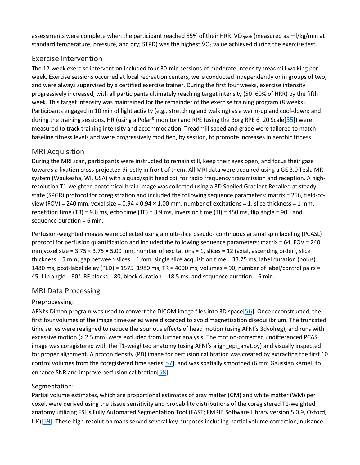assessments were complete when the participant reached 85% of their HRR. VO<sub>2peak</sub> (measured as ml/kg/min at standard temperature, pressure, and dry; STPD) was the highest  $VO<sub>2</sub>$  value achieved during the exercise test.

## Exercise Intervention

The 12-week exercise intervention included four 30-min sessions of moderate-intensity treadmill walking per week. Exercise sessions occurred at local recreation centers, were conducted independently or in groups of two, and were always supervised by a certified exercise trainer. During the first four weeks, exercise intensity progressively increased, with all participants ultimately reaching target intensity (50–60% of HRR) by the fifth week. This target intensity was maintained for the remainder of the exercise training program (8 weeks). Participants engaged in 10 min of light activity (e.g., stretching and walking) as a warm-up and cool-down; and during the training sessions, HR (using a Polar® monitor) and RPE (using the Borg RPE 6–20 Scale[\[55\]](https://www.ncbi.nlm.nih.gov/pmc/articles/PMC6444938/#R55)) were measured to track training intensity and accommodation. Treadmill speed and grade were tailored to match baseline fitness levels and were progressively modified, by session, to promote increases in aerobic fitness.

## MRI Acquisition

During the MRI scan, participants were instructed to remain still, keep their eyes open, and focus their gaze towards a fixation cross projected directly in front of them. All MRI data were acquired using a GE 3.0 Tesla MR system (Waukesha, WI, USA) with a quad/split head coil for radio frequency transmission and reception. A highresolution T1-weighted anatomical brain image was collected using a 3D Spoiled Gradient Recalled at steady state (SPGR) protocol for coregistration and included the following sequence parameters: matrix = 256, field-ofview (FOV) = 240 mm, voxel size =  $0.94 \times 0.94 \times 1.00$  mm, number of excitations = 1, slice thickness = 1 mm, repetition time (TR) = 9.6 ms, echo time (TE) = 3.9 ms, inversion time (TI) = 450 ms, flip angle = 90°, and sequence duration = 6 min.

Perfusion-weighted images were collected using a multi-slice pseudo- continuous arterial spin labeling (PCASL) protocol for perfusion quantification and included the following sequence parameters: matrix = 64, FOV = 240 mm, voxel size =  $3.75 \times 3.75 \times 5.00$  mm, number of excitations = 1, slices = 12 (axial, ascending order), slice thickness = 5 mm, gap between slices = 1 mm, single slice acquisition time = 33.75 ms, label duration (bolus) = 1480 ms, post-label delay (PLD) = 1575–1980 ms, TR = 4000 ms, volumes = 90, number of label/control pairs = 45, flip angle = 90°, RF blocks = 80, block duration = 18.5 ms, and sequence duration = 6 min.

#### MRI Data Processing

#### Preprocessing:

AFNI's Dimon program was used to convert the DICOM image files into 3D space[\[56\]](https://www.ncbi.nlm.nih.gov/pmc/articles/PMC6444938/#R56). Once reconstructed, the first four volumes of the image time-series were discarded to avoid magnetization disequilibrium. The truncated time series were realigned to reduce the spurious effects of head motion (using AFNI's 3dvolreg), and runs with excessive motion (> 2.5 mm) were excluded from further analysis. The motion-corrected undifferenced PCASL image was coregistered with the T1-weighted anatomy (using AFNI's align\_epi\_anat.py) and visually inspected for proper alignment. A proton density (PD) image for perfusion calibration was created by extracting the first 10 control volumes from the coregistered time series $[57]$ , and was spatially smoothed (6 mm Gaussian kernel) to enhance SNR and improve perfusion calibration[\[58\]](https://www.ncbi.nlm.nih.gov/pmc/articles/PMC6444938/#R58).

#### Segmentation:

Partial volume estimates, which are proportional estimates of gray matter (GM) and white matter (WM) per voxel, were derived using the tissue sensitivity and probability distributions of the coregistered T1-weighted anatomy utilizing FSL's Fully Automated Segmentation Tool (FAST; FMRIB Software Library version 5.0.9, Oxford, UK)[\[59\]](https://www.ncbi.nlm.nih.gov/pmc/articles/PMC6444938/#R59). These high-resolution maps served several key purposes including partial volume correction, nuisance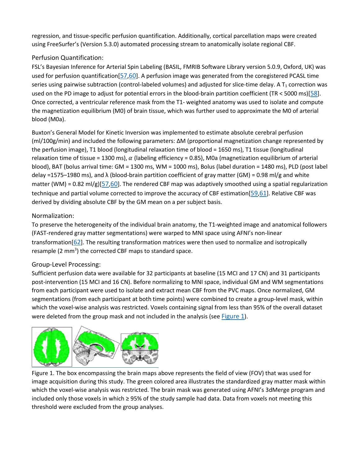regression, and tissue-specific perfusion quantification. Additionally, cortical parcellation maps were created using FreeSurfer's (Version 5.3.0) automated processing stream to anatomically isolate regional CBF.

#### Perfusion Quantification:

FSL's Bayesian Inference for Arterial Spin Labeling (BASIL, FMRIB Software Library version 5.0.9, Oxford, UK) was used for perfusion quantification[\[57,](https://www.ncbi.nlm.nih.gov/pmc/articles/PMC6444938/#R57)[60\]](https://www.ncbi.nlm.nih.gov/pmc/articles/PMC6444938/#R60). A perfusion image was generated from the coregistered PCASL time series using pairwise subtraction (control-labeled volumes) and adjusted for slice-time delay. A  $T_1$  correction was used on the PD image to adjust for potential errors in the blood-brain partition coefficient (TR < 5000 ms)[\[58\]](https://www.ncbi.nlm.nih.gov/pmc/articles/PMC6444938/#R58). Once corrected, a ventricular reference mask from the T1- weighted anatomy was used to isolate and compute the magnetization equilibrium (M0) of brain tissue, which was further used to approximate the M0 of arterial blood (M0a).

Buxton's General Model for Kinetic Inversion was implemented to estimate absolute cerebral perfusion (ml/100g/min) and included the following parameters: ΔM (proportional magnetization change represented by the perfusion image), T1 blood (longitudinal relaxation time of blood = 1650 ms), T1 tissue (longitudinal relaxation time of tissue = 1300 ms),  $\alpha$  (labeling efficiency = 0.85), M0a (magnetization equilibrium of arterial blood), BAT (bolus arrival time: GM = 1300 ms, WM = 1000 ms), Bolus (label duration = 1480 ms), PLD (post label delay =1575–1980 ms), and  $\lambda$  (blood-brain partition coefficient of gray matter (GM) = 0.98 ml/g and white matter (WM) = 0.82 ml/g)[\[57](https://www.ncbi.nlm.nih.gov/pmc/articles/PMC6444938/#R57)[,60\]](https://www.ncbi.nlm.nih.gov/pmc/articles/PMC6444938/#R60). The rendered CBF map was adaptively smoothed using a spatial regularization technique and partial volume corrected to improve the accuracy of CBF estimation[\[59](https://www.ncbi.nlm.nih.gov/pmc/articles/PMC6444938/#R59)[,61\]](https://www.ncbi.nlm.nih.gov/pmc/articles/PMC6444938/#R61). Relative CBF was derived by dividing absolute CBF by the GM mean on a per subject basis.

#### Normalization:

To preserve the heterogeneity of the individual brain anatomy, the T1-weighted image and anatomical followers (FAST-rendered gray matter segmentations) were warped to MNI space using AFNI's non-linear transformation $[62]$ . The resulting transformation matrices were then used to normalize and isotropically resample (2 mm<sup>3</sup>) the corrected CBF maps to standard space.

#### Group-Level Processing:

Sufficient perfusion data were available for 32 participants at baseline (15 MCI and 17 CN) and 31 participants post-intervention (15 MCI and 16 CN). Before normalizing to MNI space, individual GM and WM segmentations from each participant were used to isolate and extract mean CBF from the PVC maps. Once normalized, GM segmentations (from each participant at both time points) were combined to create a group-level mask, within which the voxel-wise analysis was restricted. Voxels containing signal from less than 95% of the overall dataset were deleted from the group mask and not included in the analysis (see [Figure 1\).](https://www.ncbi.nlm.nih.gov/pmc/articles/PMC6444938/figure/F1/)



Figure 1. The box encompassing the brain maps above represents the field of view (FOV) that was used for image acquisition during this study. The green colored area illustrates the standardized gray matter mask within which the voxel-wise analysis was restricted. The brain mask was generated using AFNI's 3dMerge program and included only those voxels in which ≥ 95% of the study sample had data. Data from voxels not meeting this threshold were excluded from the group analyses.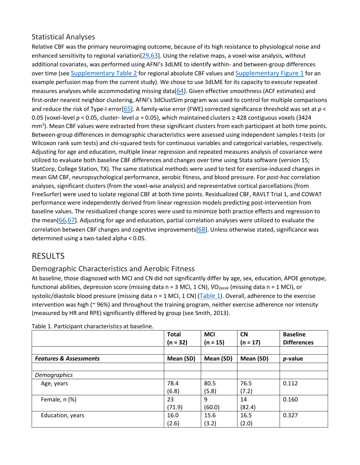## Statistical Analyses

Relative CBF was the primary neuroimaging outcome, because of its high resistance to physiological noise and enhanced sensitivity to regional variation[\[29](https://www.ncbi.nlm.nih.gov/pmc/articles/PMC6444938/#R29)[,63\]](https://www.ncbi.nlm.nih.gov/pmc/articles/PMC6444938/#R63). Using the relative maps, a voxel-wise analysis, without additional covariates, was performed using AFNI's 3dLME to identify within- and between-group differences over time (see [Supplementary Table 2](https://www.ncbi.nlm.nih.gov/pmc/articles/PMC6444938/#SD1) for regional absolute CBF values and [Supplementary Figure 1](https://www.ncbi.nlm.nih.gov/pmc/articles/PMC6444938/#SD1) for an example perfusion map from the current study). We chose to use 3dLME for its capacity to execute repeated measures analyses while accommodating missing data[\[64\]](https://www.ncbi.nlm.nih.gov/pmc/articles/PMC6444938/#R64). Given effective smoothness (ACF estimates) and first-order nearest neighbor clustering, AFNI's 3dClustSim program was used to control for multiple comparisons and reduce the risk of Type-I error[\[65\]](https://www.ncbi.nlm.nih.gov/pmc/articles/PMC6444938/#R65). A family-wise error (FWE) corrected significance threshold was set at *p* < 0.05 (voxel-level  $p < 0.05$ , cluster- level  $\alpha = 0.05$ ), which maintained clusters ≥ 428 contiguous voxels (3424 mm<sup>3</sup>). Mean CBF values were extracted from these significant clusters from each participant at both time points. Between-group differences in demographic characteristics were assessed using independent samples *t*-tests (or Wilcoxon rank sum tests) and chi-squared tests for continuous variables and categorical variables, respectively. Adjusting for age and education, multiple linear regression and repeated measures analysis of covariance were utilized to evaluate both baseline CBF differences and changes over time using Stata software (version 15; StatCorp, College Station, TX). The same statistical methods were used to test for exercise-induced changes in mean GM CBF, neuropsychological performance, aerobic fitness, and blood pressure. For *post*-*hoc* correlation analyses, significant clusters (from the voxel-wise analysis) and representative cortical parcellations (from FreeSurfer) were used to isolate regional CBF at both time points. Residualized CBF, RAVLT Trial 1, and COWAT performance were independently derived from linear regression models predicting post-intervention from baseline values. The residualized change scores were used to minimize both practice effects and regression to the mean[\[66,](https://www.ncbi.nlm.nih.gov/pmc/articles/PMC6444938/#R66)[67\]](https://www.ncbi.nlm.nih.gov/pmc/articles/PMC6444938/#R67). Adjusting for age and education, partial correlation analyses were utilized to evaluate the correlation between CBF changes and cognitive improvements[\[68\]](https://www.ncbi.nlm.nih.gov/pmc/articles/PMC6444938/#R68). Unless otherwise stated, significance was determined using a two-tailed alpha < 0.05.

# RESULTS

# Demographic Characteristics and Aerobic Fitness

At baseline, those diagnosed with MCI and CN did not significantly differ by age, sex, education, APOE genotype, functional abilities, depression score (missing data n = 3 MCI, 1 CN),  $VO_{2peak}$  (missing data n = 1 MCI), or systolic/diastolic blood pressure (missing data  $n = 1$  MCI, 1 CN) [\(Table 1\)](https://www.ncbi.nlm.nih.gov/pmc/articles/PMC6444938/table/T1/). Overall, adherence to the exercise intervention was high (~ 96%) and throughout the training program, neither exercise adherence nor intensity (measured by HR and RPE) significantly differed by group (see Smith, 2013).

|                                   | <b>Total</b><br>(n = 32) | <b>MCI</b><br>$(n = 15)$ | <b>CN</b><br>$(n = 17)$ | <b>Baseline</b><br><b>Differences</b> |
|-----------------------------------|--------------------------|--------------------------|-------------------------|---------------------------------------|
|                                   |                          |                          |                         |                                       |
| <b>Features &amp; Assessments</b> | Mean (SD)                | Mean (SD)                | Mean (SD)               | p-value                               |
|                                   |                          |                          |                         |                                       |
| Demographics                      |                          |                          |                         |                                       |
| Age, years                        | 78.4                     | 80.5                     | 76.5                    | 0.112                                 |
|                                   | (6.8)                    | (5.8)                    | (7.2)                   |                                       |
| Female, n (%)                     | 23                       | 9                        | 14                      | 0.160                                 |
|                                   | (71.9)                   | (60.0)                   | (82.4)                  |                                       |
| Education, years                  | 16.0                     | 15.6                     | 16.5                    | 0.327                                 |
|                                   | (2.6)                    | (3.2)                    | (2.0)                   |                                       |

Table 1. Participant characteristics at baseline.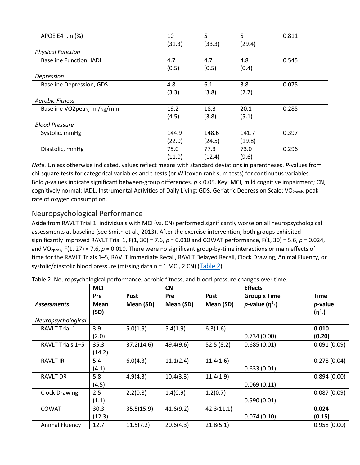| APOE E4+, n (%)                 | 10     | 5      | 5      | 0.811 |
|---------------------------------|--------|--------|--------|-------|
|                                 | (31.3) | (33.3) | (29.4) |       |
| <b>Physical Function</b>        |        |        |        |       |
| <b>Baseline Function, IADL</b>  | 4.7    | 4.7    | 4.8    | 0.545 |
|                                 | (0.5)  | (0.5)  | (0.4)  |       |
| Depression                      |        |        |        |       |
| <b>Baseline Depression, GDS</b> | 4.8    | 6.1    | 3.8    | 0.075 |
|                                 | (3.3)  | (3.8)  | (2.7)  |       |
| <b>Aerobic Fitness</b>          |        |        |        |       |
| Baseline VO2peak, ml/kg/min     | 19.2   | 18.3   | 20.1   | 0.285 |
|                                 | (4.5)  | (3.8)  | (5.1)  |       |
| <b>Blood Pressure</b>           |        |        |        |       |
| Systolic, mmHg                  | 144.9  | 148.6  | 141.7  | 0.397 |
|                                 | (22.0) | (24.5) | (19.8) |       |
| Diastolic, mmHg                 | 75.0   | 77.3   | 73.0   | 0.296 |
|                                 | (11.0) | (12.4) | (9.6)  |       |

*Note.* Unless otherwise indicated, values reflect means with standard deviations in parentheses. *P*-values from chi-square tests for categorical variables and t-tests (or Wilcoxon rank sum tests) for continuous variables. Bold *p*-values indicate significant between-group differences, *p* < 0.05. Key: MCI, mild cognitive impairment; CN, cognitively normal; IADL, Instrumental Activities of Daily Living; GDS, Geriatric Depression Scale; VO<sub>2peak</sub>, peak rate of oxygen consumption.

# Neuropsychological Performance

Aside from RAVLT Trial 1, individuals with MCI (vs. CN) performed significantly worse on all neuropsychological assessments at baseline (see Smith et al., 2013). After the exercise intervention, both groups exhibited significantly improved RAVLT Trial 1, F(1, 30) = 7.6, *p* = 0.010 and COWAT performance, F(1, 30) = 5.6, *p* = 0.024, and VO<sub>2peak</sub>, F(1, 27) = 7.6, p = 0.010. There were no significant group-by-time interactions or main effects of time for the RAVLT Trials 1–5, RAVLT Immediate Recall, RAVLT Delayed Recall, Clock Drawing, Animal Fluency, or systolic/diastolic blood pressure (missing data n = 1 MCI, 2 CN) [\(Table 2\)](https://www.ncbi.nlm.nih.gov/pmc/articles/PMC6444938/table/T2/).

|                      | <b>MCI</b> |            | <b>CN</b>  |            | <b>Effects</b>          |             |
|----------------------|------------|------------|------------|------------|-------------------------|-------------|
|                      | <b>Pre</b> | Post       | <b>Pre</b> | Post       | <b>Group x Time</b>     | <b>Time</b> |
| <b>Assessments</b>   | Mean       | Mean (SD)  | Mean (SD)  | Mean (SD)  | <i>p</i> -value $(n^2)$ | $p$ -value  |
|                      | (SD)       |            |            |            |                         | $(n^2p)$    |
| Neuropsychological   |            |            |            |            |                         |             |
| <b>RAVLT Trial 1</b> | 3.9        | 5.0(1.9)   | 5.4(1.9)   | 6.3(1.6)   |                         | 0.010       |
|                      | (2.0)      |            |            |            | 0.734(0.00)             | (0.20)      |
| RAVLT Trials 1-5     | 35.3       | 37.2(14.6) | 49.4(9.6)  | 52.5(8.2)  | 0.685(0.01)             | 0.091(0.09) |
|                      | (14.2)     |            |            |            |                         |             |
| <b>RAVLT IR</b>      | 5.4        | 6.0(4.3)   | 11.1(2.4)  | 11.4(1.6)  |                         | 0.278(0.04) |
|                      | (4.1)      |            |            |            | 0.633(0.01)             |             |
| <b>RAVLT DR</b>      | 5.8        | 4.9(4.3)   | 10.4(3.3)  | 11.4(1.9)  |                         | 0.894(0.00) |
|                      | (4.5)      |            |            |            | 0.069(0.11)             |             |
| <b>Clock Drawing</b> | 2.5        | 2.2(0.8)   | 1.4(0.9)   | 1.2(0.7)   |                         | 0.087(0.09) |
|                      | (1.1)      |            |            |            | 0.590(0.01)             |             |
| <b>COWAT</b>         | 30.3       | 35.5(15.9) | 41.6(9.2)  | 42.3(11.1) |                         | 0.024       |
|                      | (12.3)     |            |            |            | 0.074(0.10)             | (0.15)      |
| Animal Fluency       | 12.7       | 11.5(7.2)  | 20.6(4.3)  | 21.8(5.1)  |                         | 0.958(0.00) |

Table 2. Neuropsychological performance, aerobic fitness, and blood pressure changes over time.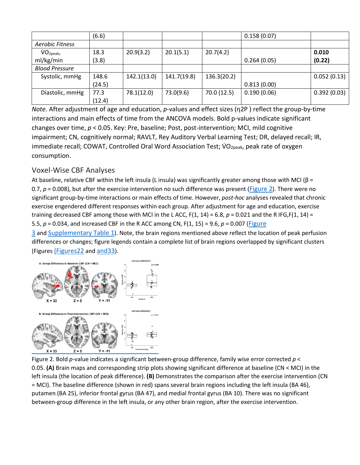|                        | (6.6)  |             |             |             | 0.158(0.07) |             |
|------------------------|--------|-------------|-------------|-------------|-------------|-------------|
| <b>Aerobic Fitness</b> |        |             |             |             |             |             |
| VO <sub>2peak</sub>    | 18.3   | 20.9(3.2)   | 20.1(5.1)   | 20.7(4.2)   |             | 0.010       |
| ml/kg/min              | (3.8)  |             |             |             | 0.264(0.05) | (0.22)      |
| <b>Blood Pressure</b>  |        |             |             |             |             |             |
| Systolic, mmHg         | 148.6  | 142.1(13.0) | 141.7(19.8) | 136.3(20.2) |             | 0.052(0.13) |
|                        | (24.5) |             |             |             | 0.813(0.00) |             |
| Diastolic, mmHg        | 77.3   | 78.1(12.0)  | 73.0(9.6)   | 70.0 (12.5) | 0.190(0.06) | 0.392(0.03) |
|                        | (12.4) |             |             |             |             |             |

*Note.* After adjustment of age and education, *p*-values and effect sizes (η2P ) reflect the group-by-time interactions and main effects of time from the ANCOVA models. Bold p-values indicate significant changes over time, *p* < 0.05. Key: Pre, baseline; Post, post-intervention; MCI, mild cognitive impairment; CN, cognitively normal; RAVLT, Rey Auditory Verbal Learning Test; DR, delayed recall; IR, immediate recall; COWAT, Controlled Oral Word Association Test; VO<sub>2peak</sub>, peak rate of oxygen consumption.

## Voxel-Wise CBF Analyses

At baseline, relative CBF within the left insula (L insula) was significantly greater among those with MCI ( $\beta$  = 0.7,  $p = 0.008$ ), but after the exercise intervention no such difference was present [\(Figure 2\)](https://www.ncbi.nlm.nih.gov/pmc/articles/PMC6444938/figure/F2/). There were no significant group-by-time interactions or main effects of time. However, *post*-*hoc* analyses revealed that chronic exercise engendered different responses within each group. After adjustment for age and education, exercise training decreased CBF among those with MCI in the L ACC,  $F(1, 14) = 6.8$ ,  $p = 0.021$  and the R IFG,  $F(1, 14) =$ 5.5, *p* = 0.034, and increased CBF in the R ACC among CN, F(1, 15) = 9.6, *p* = 0.007 [\(Figure](https://www.ncbi.nlm.nih.gov/pmc/articles/PMC6444938/figure/F3/) 

[3](https://www.ncbi.nlm.nih.gov/pmc/articles/PMC6444938/figure/F3/) and [Supplementary Table 1\)](https://www.ncbi.nlm.nih.gov/pmc/articles/PMC6444938/#SD1). Note, the brain regions mentioned above reflect the location of peak perfusion differences or changes; figure legends contain a complete list of brain regions overlapped by significant clusters (Figures [\(Figures22](https://www.ncbi.nlm.nih.gov/pmc/articles/PMC6444938/figure/F2/) and [and33\)](https://www.ncbi.nlm.nih.gov/pmc/articles/PMC6444938/figure/F3/)[.](https://www.ncbi.nlm.nih.gov/pmc/articles/PMC6444938/figure/F2/)



Figure 2. Bold *p*-value indicates a significant between-group difference, family wise error corrected *p* < 0.05. **(A)** Brain maps and corresponding strip plots showing significant difference at baseline (CN < MCI) in the left insula (the location of peak difference). **(B)** Demonstrates the comparison after the exercise intervention (CN = MCI). The baseline difference (shown in red) spans several brain regions including the left insula (BA 46), putamen (BA 25), inferior frontal gyrus (BA 47), and medial frontal gyrus (BA 10). There was no significant between-group difference in the left insula, or any other brain region, after the exercise intervention[.](https://www.ncbi.nlm.nih.gov/pmc/articles/PMC6444938/figure/F3/)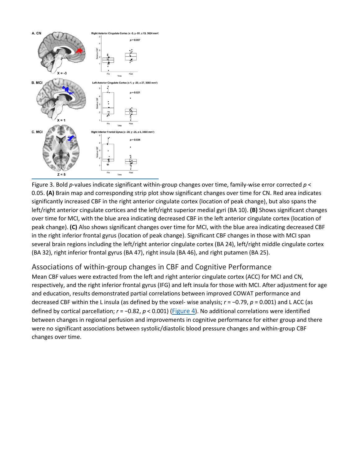

Figure 3. Bold *p*-values indicate significant within-group changes over time, family-wise error corrected *p* < 0.05. **(A)** Brain map and corresponding strip plot show significant changes over time for CN. Red area indicates significantly increased CBF in the right anterior cingulate cortex (location of peak change), but also spans the left/right anterior cingulate cortices and the left/right superior medial gyri (BA 10). **(B)** Shows significant changes over time for MCI, with the blue area indicating decreased CBF in the left anterior cingulate cortex (location of peak change). **(C)** Also shows significant changes over time for MCI, with the blue area indicating decreased CBF in the right inferior frontal gyrus (location of peak change). Significant CBF changes in those with MCI span several brain regions including the left/right anterior cingulate cortex (BA 24), left/right middle cingulate cortex (BA 32), right inferior frontal gyrus (BA 47), right insula (BA 46), and right putamen (BA 25).

#### Associations of within-group changes in CBF and Cognitive Performance

Mean CBF values were extracted from the left and right anterior cingulate cortex (ACC) for MCI and CN, respectively, and the right inferior frontal gyrus (IFG) and left insula for those with MCI. After adjustment for age and education, results demonstrated partial correlations between improved COWAT performance and decreased CBF within the L insula (as defined by the voxel- wise analysis; *r* = −0.79, *p* = 0.001) and L ACC (as defined by cortical parcellation; *r* = −0.82, *p* < 0.001) [\(Figure 4\)](https://www.ncbi.nlm.nih.gov/pmc/articles/PMC6444938/figure/F4/). No additional correlations were identified between changes in regional perfusion and improvements in cognitive performance for either group and there were no significant associations between systolic/diastolic blood pressure changes and within-group CBF changes over time.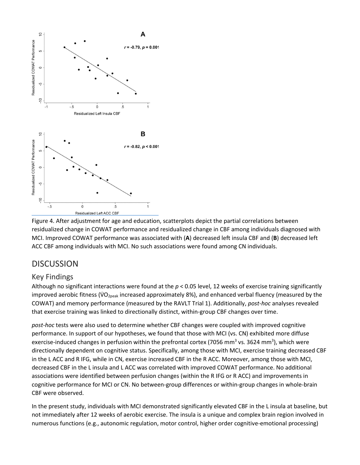

Figure 4. After adjustment for age and education, scatterplots depict the partial correlations between residualized change in COWAT performance and residualized change in CBF among individuals diagnosed with MCI. Improved COWAT performance was associated with (**A**) decreased left insula CBF and (**B**) decreased left ACC CBF among individuals with MCI. No such associations were found among CN individuals.

# **DISCUSSION**

# Key Findings

Although no significant interactions were found at the *p* < 0.05 level, 12 weeks of exercise training significantly improved aerobic fitness (VO<sub>2peak</sub> increased approximately 8%), and enhanced verbal fluency (measured by the COWAT) and memory performance (measured by the RAVLT Trial 1). Additionally, *post*-*hoc* analyses revealed that exercise training was linked to directionally distinct, within-group CBF changes over time.

*post*-*hoc* tests were also used to determine whether CBF changes were coupled with improved cognitive performance. In support of our hypotheses, we found that those with MCI (vs. CN) exhibited more diffuse exercise-induced changes in perfusion within the prefrontal cortex (7056 mm<sup>3</sup> vs. 3624 mm<sup>3</sup>), which were directionally dependent on cognitive status. Specifically, among those with MCI, exercise training decreased CBF in the L ACC and R IFG, while in CN, exercise increased CBF in the R ACC. Moreover, among those with MCI, decreased CBF in the L insula and L ACC was correlated with improved COWAT performance. No additional associations were identified between perfusion changes (within the R IFG or R ACC) and improvements in cognitive performance for MCI or CN. No between-group differences or within-group changes in whole-brain CBF were observed.

In the present study, individuals with MCI demonstrated significantly elevated CBF in the L insula at baseline, but not immediately after 12 weeks of aerobic exercise. The insula is a unique and complex brain region involved in numerous functions (e.g., autonomic regulation, motor control, higher order cognitive-emotional processing)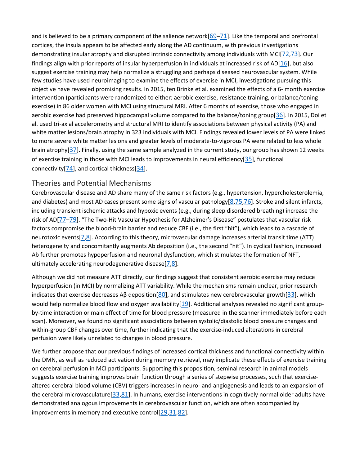and is believed to be a primary component of the salience network[\[69](https://www.ncbi.nlm.nih.gov/pmc/articles/PMC6444938/#R69)[–71\]](https://www.ncbi.nlm.nih.gov/pmc/articles/PMC6444938/#R71). Like the temporal and prefrontal cortices, the insula appears to be affected early along the AD continuum, with previous investigations demonstrating insular atrophy and disrupted intrinsic connectivity among individuals with MCI[\[72](https://www.ncbi.nlm.nih.gov/pmc/articles/PMC6444938/#R72)[,73\]](https://www.ncbi.nlm.nih.gov/pmc/articles/PMC6444938/#R73). Our findings align with prior reports of insular hyperperfusion in individuals at increased risk of AD[\[16\]](https://www.ncbi.nlm.nih.gov/pmc/articles/PMC6444938/#R16), but also suggest exercise training may help normalize a struggling and perhaps diseased neurovascular system. While few studies have used neuroimaging to examine the effects of exercise in MCI, investigations pursuing this objective have revealed promising results. In 2015, ten Brinke et al. examined the effects of a 6- month exercise intervention (participants were randomized to either: aerobic exercise, resistance training, or balance/toning exercise) in 86 older women with MCI using structural MRI. After 6 months of exercise, those who engaged in aerobic exercise had preserved hippocampal volume compared to the balance/toning group[\[36\]](https://www.ncbi.nlm.nih.gov/pmc/articles/PMC6444938/#R36). In 2015, Doi et al. used tri-axial accelerometry and structural MRI to identify associations between physical activity (PA) and white matter lesions/brain atrophy in 323 individuals with MCI. Findings revealed lower levels of PA were linked to more severe white matter lesions and greater levels of moderate-to-vigorous PA were related to less whole brain atrophy[\[37\]](https://www.ncbi.nlm.nih.gov/pmc/articles/PMC6444938/#R37). Finally, using the same sample analyzed in the current study, our group has shown 12 weeks of exercise training in those with MCI leads to improvements in neural efficiency[\[35\]](https://www.ncbi.nlm.nih.gov/pmc/articles/PMC6444938/#R35), functional connectivity[\[74\]](https://www.ncbi.nlm.nih.gov/pmc/articles/PMC6444938/#R74), and cortical thickness[\[34\]](https://www.ncbi.nlm.nih.gov/pmc/articles/PMC6444938/#R34).

#### Theories and Potential Mechanisms

Cerebrovascular disease and AD share many of the same risk factors (e.g., hypertension, hypercholesterolemia, and diabetes) and most AD cases present some signs of vascular pathology[\[8](https://www.ncbi.nlm.nih.gov/pmc/articles/PMC6444938/#R8)[,75](https://www.ncbi.nlm.nih.gov/pmc/articles/PMC6444938/#R75)[,76\]](https://www.ncbi.nlm.nih.gov/pmc/articles/PMC6444938/#R76). Stroke and silent infarcts, including transient ischemic attacks and hypoxic events (e.g., during sleep disordered breathing) increase the risk of AD[77-[79\]](https://www.ncbi.nlm.nih.gov/pmc/articles/PMC6444938/#R79). "The Two-Hit Vascular Hypothesis for Alzheimer's Disease" postulates that vascular risk factors compromise the blood-brain barrier and reduce CBF (i.e., the first "hit"), which leads to a cascade of neurotoxic events[\[7](https://www.ncbi.nlm.nih.gov/pmc/articles/PMC6444938/#R7)[,8\]](https://www.ncbi.nlm.nih.gov/pmc/articles/PMC6444938/#R8). According to this theory, microvascular damage increases arterial transit time (ATT) heterogeneity and concomitantly augments Ab deposition (i.e., the second "hit"). In cyclical fashion, increased Ab further promotes hypoperfusion and neuronal dysfunction, which stimulates the formation of NFT, ultimately accelerating neurodegenerative disease $[7,8]$  $[7,8]$ .

Although we did not measure ATT directly, our findings suggest that consistent aerobic exercise may reduce hyperperfusion (in MCI) by normalizing ATT variability. While the mechanisms remain unclear, prior research indicates that exercise decreases A $\beta$  deposition[[80\]](https://www.ncbi.nlm.nih.gov/pmc/articles/PMC6444938/#R80), and stimulates new cerebrovascular growth[\[33\]](https://www.ncbi.nlm.nih.gov/pmc/articles/PMC6444938/#R33), which would help normalize blood flow and oxygen availability $[19]$ . Additional analyses revealed no significant groupby-time interaction or main effect of time for blood pressure (measured in the scanner immediately before each scan). Moreover, we found no significant associations between systolic/diastolic blood pressure changes and within-group CBF changes over time, further indicating that the exercise-induced alterations in cerebral perfusion were likely unrelated to changes in blood pressure.

We further propose that our previous findings of increased cortical thickness and functional connectivity within the DMN, as well as reduced activation during memory retrieval, may implicate these effects of exercise training on cerebral perfusion in MCI participants. Supporting this proposition, seminal research in animal models suggests exercise training improves brain function through a series of stepwise processes, such that exercisealtered cerebral blood volume (CBV) triggers increases in neuro- and angiogenesis and leads to an expansion of the cerebral microvasculature[\[33,](https://www.ncbi.nlm.nih.gov/pmc/articles/PMC6444938/#R33)[81\]](https://www.ncbi.nlm.nih.gov/pmc/articles/PMC6444938/#R81). In humans, exercise interventions in cognitively normal older adults have demonstrated analogous improvements in cerebrovascular function, which are often accompanied by improvements in memory and executive control[\[29](https://www.ncbi.nlm.nih.gov/pmc/articles/PMC6444938/#R29)[,31](https://www.ncbi.nlm.nih.gov/pmc/articles/PMC6444938/#R31)[,82\]](https://www.ncbi.nlm.nih.gov/pmc/articles/PMC6444938/#R82).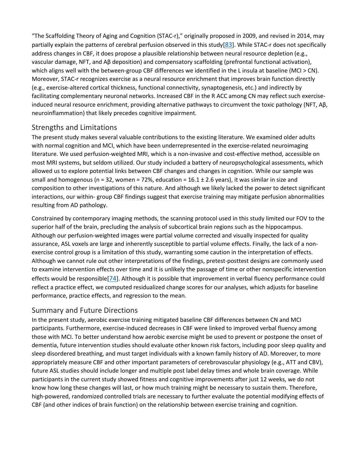"The Scaffolding Theory of Aging and Cognition (STAC-r)," originally proposed in 2009, and revised in 2014, may partially explain the patterns of cerebral perfusion observed in this study[\[83\]](https://www.ncbi.nlm.nih.gov/pmc/articles/PMC6444938/#R83). While STAC-r does not specifically address changes in CBF, it does propose a plausible relationship between neural resource depletion (e.g., vascular damage, NFT, and Aβ deposition) and compensatory scaffolding (prefrontal functional activation), which aligns well with the between-group CBF differences we identified in the L insula at baseline (MCI > CN). Moreover, STAC-r recognizes exercise as a neural resource enrichment that improves brain function directly (e.g., exercise-altered cortical thickness, functional connectivity, synaptogenesis, etc.) and indirectly by facilitating complementary neuronal networks. Increased CBF in the R ACC among CN may reflect such exerciseinduced neural resource enrichment, providing alternative pathways to circumvent the toxic pathology (NFT, Aβ, neuroinflammation) that likely precedes cognitive impairment.

#### Strengths and Limitations

The present study makes several valuable contributions to the existing literature. We examined older adults with normal cognition and MCI, which have been underrepresented in the exercise-related neuroimaging literature. We used perfusion-weighted MRI, which is a non-invasive and cost-effective method, accessible on most MRI systems, but seldom utilized. Our study included a battery of neuropsychological assessments, which allowed us to explore potential links between CBF changes and changes in cognition. While our sample was small and homogenous (n = 32, women = 72%, education =  $16.1 \pm 2.6$  years), it was similar in size and composition to other investigations of this nature. And although we likely lacked the power to detect significant interactions, our within- group CBF findings suggest that exercise training may mitigate perfusion abnormalities resulting from AD pathology.

Constrained by contemporary imaging methods, the scanning protocol used in this study limited our FOV to the superior half of the brain, precluding the analysis of subcortical brain regions such as the hippocampus. Although our perfusion-weighted images were partial volume corrected and visually inspected for quality assurance, ASL voxels are large and inherently susceptible to partial volume effects. Finally, the lack of a nonexercise control group is a limitation of this study, warranting some caution in the interpretation of effects. Although we cannot rule out other interpretations of the findings, pretest-posttest designs are commonly used to examine intervention effects over time and it is unlikely the passage of time or other nonspecific intervention effects would be responsible[\[74\]](https://www.ncbi.nlm.nih.gov/pmc/articles/PMC6444938/#R74). Although it is possible that improvement in verbal fluency performance could reflect a practice effect, we computed residualized change scores for our analyses, which adjusts for baseline performance, practice effects, and regression to the mean.

#### Summary and Future Directions

In the present study, aerobic exercise training mitigated baseline CBF differences between CN and MCI participants. Furthermore, exercise-induced decreases in CBF were linked to improved verbal fluency among those with MCI. To better understand how aerobic exercise might be used to prevent or postpone the onset of dementia, future intervention studies should evaluate other known risk factors, including poor sleep quality and sleep disordered breathing, and must target individuals with a known family history of AD. Moreover, to more appropriately measure CBF and other important parameters of cerebrovascular physiology (e.g., ATT and CBV), future ASL studies should include longer and multiple post label delay times and whole brain coverage. While participants in the current study showed fitness and cognitive improvements after just 12 weeks, we do not know how long these changes will last, or how much training might be necessary to sustain them. Therefore, high-powered, randomized controlled trials are necessary to further evaluate the potential modifying effects of CBF (and other indices of brain function) on the relationship between exercise training and cognition.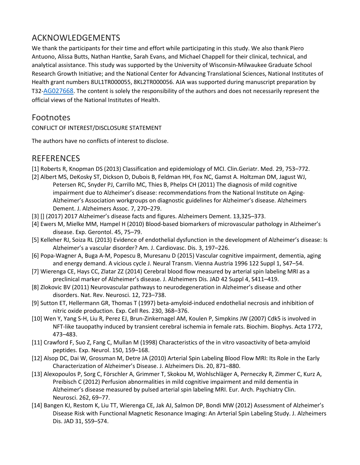# ACKNOWLEDGEMENTS

We thank the participants for their time and effort while participating in this study. We also thank Piero Antuono, Alissa Butts, Nathan Hantke, Sarah Evans, and Michael Chappell for their clinical, technical, and analytical assistance. This study was supported by the University of Wisconsin-Milwaukee Graduate School Research Growth Initiative; and the National Center for Advancing Translational Sciences, National Institutes of Health grant numbers 8UL1TR000055, 8KL2TR000056. AJA was supported during manuscript preparation by T32[-AG027668.](https://www.ncbi.nlm.nih.gov/nuccore/AG027668) The content is solely the responsibility of the authors and does not necessarily represent the official views of the National Institutes of Health.

# Footnotes

CONFLICT OF INTEREST/DISCLOSURE STATEMENT

The authors have no conflicts of interest to disclose.

# REFERENCES

- [1] Roberts R, Knopman DS (2013) Classification and epidemiology of MCI. Clin.Geriatr. Med. 29, 753–772.
- [2] Albert MS, DeKosky ST, Dickson D, Dubois B, Feldman HH, Fox NC, Gamst A. Holtzman DM, Jagust WJ, Petersen RC, Snyder PJ, Carrillo MC, Thies B, Phelps CH (2011) The diagnosis of mild cognitive impairment due to Alzheimer's disease: recommendations from the National Institute on Aging-Alzheimer's Association workgroups on diagnostic guidelines for Alzheimer's disease. Alzheimers Dement. J. Alzheimers Assoc. 7, 270–279.
- [3] [] (2017) 2017 Alzheimer's disease facts and figures. Alzheimers Dement. 13,325–373.
- [4] Ewers M, Mielke MM, Hampel H (2010) Blood-based biomarkers of microvascular pathology in Alzheimer's disease. Exp. Gerontol. 45, 75–79.
- [5] Kelleher RJ, Soiza RL (2013) Evidence of endothelial dysfunction in the development of Alzheimer's disease: Is Alzheimer's a vascular disorder? Am. J. Cardiovasc. Dis. 3, 197–226.
- [6] Popa-Wagner A, Buga A-M, Popescu B, Muresanu D (2015) Vascular cognitive impairment, dementia, aging and energy demand. A vicious cycle J. Neural Transm. Vienna Austria 1996 122 Suppl 1, S47–54.
- [7] Wierenga CE, Hays CC, Zlatar ZZ (2014) Cerebral blood flow measured by arterial spin labeling MRI as a preclinical marker of Alzheimer's disease. J. Alzheimers Dis. JAD 42 Suppl 4, S411–419.
- [8] Zlokovic BV (2011) Neurovascular pathways to neurodegeneration in Alzheimer's disease and other disorders. Nat. Rev. Neurosci. 12, 723–738.
- [9] Sutton ET, Hellermann GR, Thomas T (1997) beta-amyloid-induced endothelial necrosis and inhibition of nitric oxide production. Exp. Cell Res. 230, 368–376.
- [10] Wen Y, Yang S-H, Liu R, Perez EJ, Brun-Zinkernagel AM, Koulen P, Simpkins JW (2007) Cdk5 is involved in NFT-like tauopathy induced by transient cerebral ischemia in female rats. Biochim. Biophys. Acta 1772, 473–483.
- [11] Crawford F, Suo Z, Fang C, Mullan M (1998) Characteristics of the in vitro vasoactivity of beta-amyloid peptides. Exp. Neurol. 150, 159–168.
- [12] Alsop DC, Dai W, Grossman M, Detre JA (2010) Arterial Spin Labeling Blood Flow MRI: Its Role in the Early Characterization of Alzheimer's Disease. J. Alzheimers Dis. 20, 871–880.
- [13] Alexopoulos P, Sorg C, Förschler A, Grimmer T, Skokou M, Wohlschläger A, Perneczky R, Zimmer C, Kurz A, Preibisch C (2012) Perfusion abnormalities in mild cognitive impairment and mild dementia in Alzheimer's disease measured by pulsed arterial spin labeling MRI. Eur. Arch. Psychiatry Clin. Neurosci. 262, 69–77.
- [14] Bangen KJ, Restom K, Liu TT, Wierenga CE, Jak AJ, Salmon DP, Bondi MW (2012) Assessment of Alzheimer's Disease Risk with Functional Magnetic Resonance Imaging: An Arterial Spin Labeling Study. J. Alzheimers Dis. JAD 31, S59–S74.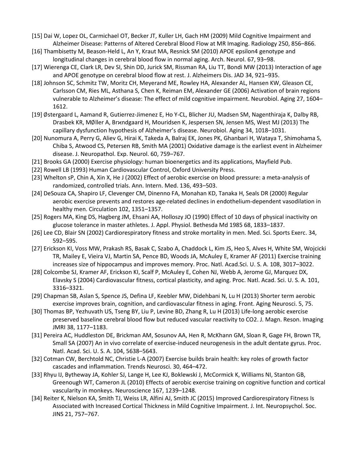- [15] Dai W, Lopez OL, Carmichael OT, Becker JT, Kuller LH, Gach HM (2009) Mild Cognitive Impairment and Alzheimer Disease: Patterns of Altered Cerebral Blood Flow at MR Imaging. Radiology 250, 856–866.
- [16] Thambisetty M, Beason-Held L, An Y, Kraut MA, Resnick SM (2010) APOE epsilon4 genotype and longitudinal changes in cerebral blood flow in normal aging. Arch. Neurol. 67, 93–98.
- [17] Wierenga CE, Clark LR, Dev SI, Shin DD, Jurick SM, Rissman RA, Liu TT, Bondi MW (2013) Interaction of age and APOE genotype on cerebral blood flow at rest. J. Alzheimers Dis. JAD 34, 921–935.
- [18] Johnson SC, Schmitz TW, Moritz CH, Meyerand ME, Rowley HA, Alexander AL, Hansen KW, Gleason CE, Carlsson CM, Ries ML, Asthana S, Chen K, Reiman EM, Alexander GE (2006) Activation of brain regions vulnerable to Alzheimer's disease: The effect of mild cognitive impairment. Neurobiol. Aging 27, 1604– 1612.
- [19] ∅stergaard L, Aamand R, Gutierrez-Jimenez E, Ho Y-CL, Blicher JU, Madsen SM, Nagenthiraja K, Dalby RB, Drasbek KR, MØller A, Brxndgaard H, Mouridsen K, Jespersen SN, Jensen MS, West MJ (2013) The capillary dysfunction hypothesis of Alzheimer's disease. Neurobiol. Aging 34, 1018–1031.
- [20] Nunomura A, Perry G, Aliev G, Hirai K, Takeda A, Balraj EK, Jones PK, Ghanbari H, Wataya T, Shimohama S, Chiba S, Atwood CS, Petersen RB, Smith MA (2001) Oxidative damage is the earliest event in Alzheimer disease. J. Neuropathol. Exp. Neurol. 60, 759–767.
- [21] Brooks GA (2000) Exercise physiology: human bioenergetics and its applications, Mayfield Pub.
- [22] Rowell LB (1993) Human Cardiovascular Control, Oxford University Press.
- [23] Whelton sP, Chin A, Xin X, He J (2002) Effect of aerobic exercise on blood pressure: a meta-analysis of randomized, controlled trials. Ann. Intern. Med. 136, 493–503.
- [24] DeSouza CA, Shapiro LF, Clevenger CM, Dinenno FA, Monahan KD, Tanaka H, Seals DR (2000) Regular aerobic exercise prevents and restores age-related declines in endothelium-dependent vasodilation in healthy men. Circulation 102, 1351–1357.
- [25] Rogers MA, King DS, Hagberg JM, Ehsani AA, Holloszy JO (1990) Effect of 10 days of physical inactivity on glucose tolerance in master athletes. J. Appl. Physiol. Bethesda Md 1985 68, 1833–1837.
- [26] Lee CD, Blair SN (2002) Cardiorespiratory fitness and stroke mortality in men. Med. Sci. Sports Exerc. 34, 592–595.
- [27] Erickson KI, Voss MW, Prakash RS, Basak C, Szabo A, Chaddock L, Kim JS, Heo S, Alves H, White SM, Wojcicki TR, Mailey E, Vieira VJ, Martin SA, Pence BD, Woods JA, McAuley E, Kramer AF (2011) Exercise training increases size of hippocampus and improves memory. Proc. Natl. Acad.Sci. U. S. A. 108, 3017–3022.
- [28] Colcombe SJ, Kramer AF, Erickson KI, Scalf P, McAuley E, Cohen NJ, Webb A, Jerome GJ, Marquez DX, Elavsky S (2004) Cardiovascular fitness, cortical plasticity, and aging. Proc. Natl. Acad. Sci. U. S. A. 101, 3316–3321.
- [29] Chapman SB, Aslan S, Spence JS, Defina LF, Keebler MW, Didehbani N, Lu H (2013) Shorter term aerobic exercise improves brain, cognition, and cardiovascular fitness in aging. Front. Aging Neurosci. 5, 75.
- [30] Thomas BP, Yezhuvath US, Tseng BY, Liu P, Levine BD, Zhang R, Lu H (2013) Life-long aerobic exercise preserved baseline cerebral blood flow but reduced vascular reactivity to CO2. J. Magn. Reson. Imaging JMRI 38, 1177–1183.
- [31] Pereira AC, Huddleston DE, Brickman AM, Sosunov AA, Hen R, McKhann GM, Sloan R, Gage FH, Brown TR, Small SA (2007) An in vivo correlate of exercise-induced neurogenesis in the adult dentate gyrus. Proc. Natl. Acad. Sci. U. S. A. 104, 5638–5643.
- [32] Cotman CW, Berchtold NC, Christie L-A (2007) Exercise builds brain health: key roles of growth factor cascades and inflammation. Trends Neurosci. 30, 464–472.
- [33] Rhyu IJ, Bytheway JA, Kohler SJ, Lange H, Lee KJ, Boklewski J, McCormick K, Williams NI, Stanton GB, Greenough WT, Cameron JL (2010) Effects of aerobic exercise training on cognitive function and cortical vascularity in monkeys. Neuroscience 167, 1239–1248.
- [34] Reiter K, Nielson KA, Smith TJ, Weiss LR, Alfini AJ, Smith JC (2015) Improved Cardiorespiratory Fitness Is Associated with Increased Cortical Thickness in Mild Cognitive Impairment. J. Int. Neuropsychol. Soc. JINS 21, 757–767.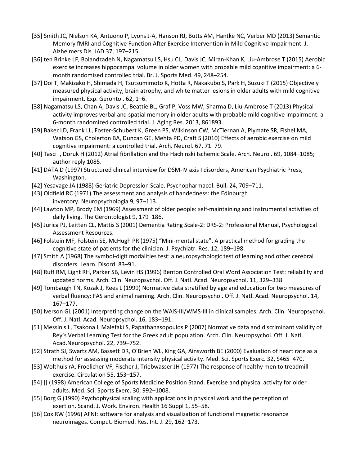- [35] Smith JC, Nielson KA, Antuono P, Lyons J-A, Hanson RJ, Butts AM, Hantke NC, Verber MD (2013) Semantic Memory fMRI and Cognitive Function After Exercise Intervention in Mild Cognitive Impairment. J. Alzheimers Dis. JAD 37, 197–215.
- [36] ten Brinke LF, Bolandzadeh N, Nagamatsu LS, Hsu CL, Davis JC, Miran-Khan K, Liu-Ambrose T (2015) Aerobic exercise increases hippocampal volume in older women with probable mild cognitive impairment: a 6 month randomised controlled trial. Br. J. Sports Med. 49, 248–254.
- [37] Doi T, Makizako H, Shimada H, Tsutsumimoto K, Hotta R, Nakakubo S, Park H, Suzuki T (2015) Objectively measured physical activity, brain atrophy, and white matter lesions in older adults with mild cognitive impairment. Exp. Gerontol. 62, 1–6.
- [38] Nagamatsu LS, Chan A, Davis JC, Beattie BL, Graf P, Voss MW, Sharma D, Liu-Ambrose T (2013) Physical activity improves verbal and spatial memory in older adults with probable mild cognitive impairment: a 6-month randomized controlled trial. J. Aging Res. 2013, 861893.
- [39] Baker LD, Frank LL, Foster-Schubert K, Green PS, Wilkinson CW, McTiernan A, Plymate SR, Fishel MA, Watson GS, Cholerton BA, Duncan GE, Mehta PD, Craft S (2010) Effects of aerobic exercise on mild cognitive impairment: a controlled trial. Arch. Neurol. 67, 71–79.
- [40] Tasci I, Doruk H (2012) Atrial fibrillation and the Hachinski Ischemic Scale. Arch. Neurol. 69, 1084–1085; author reply 1085.
- [41] DATA D (1997) Structured clinical interview for DSM-IV axis I disorders, American Psychiatric Press, Washington.
- [42] Yesavage JA (1988) Geriatric Depression Scale. Psychopharmacol. Bull. 24, 709–711.
- [43] Oldfield RC (1971) The assessment and analysis of handedness: the Edinburgh inventory. Neuropsychologia 9, 97–113.
- [44] Lawton MP, Brody EM (1969) Assessment of older people: self-maintaining and instrumental activities of daily living. The Gerontologist 9, 179–186.
- [45] Jurica PJ, Leitten CL, Mattis S (2001) Dementia Rating Scale-2: DRS-2: Professional Manual, Psychological Assessment Resources.
- [46] Folstein MF, Folstein SE, McHugh PR (1975) "Mini-mental state". A practical method for grading the cognitive state of patients for the clinician. J. Psychiatr. Res. 12, 189–198.
- [47] Smith A (1968) The symbol-digit modalities test: a neuropsychologic test of learning and other cerebral disorders. Learn. Disord. 83–91.
- [48] Ruff RM, Light RH, Parker SB, Levin HS (1996) Benton Controlled Oral Word Association Test: reliability and updated norms. Arch. Clin. Neuropsychol. Off. J. Natl. Acad. Neuropsychol. 11, 329–338.
- [49] Tombaugh TN, Kozak J, Rees L (1999) Normative data stratified by age and education for two measures of verbal fluency: FAS and animal naming. Arch. Clin. Neuropsychol. Off. J. Natl. Acad. Neuropsychol. 14, 167–177.
- [50] Iverson GL (2001) Interpreting change on the WAiS-III/WMS-III in clinical samples. Arch. Clin. Neuropsychol. Off. J. Natl. Acad. Neuropsychol. 16, 183–191.
- [51] Messinis L, Tsakona I, Malefaki S, Papathanasopoulos P (2007) Normative data and discriminant validity of Rey's Verbal Learning Test for the Greek adult population. Arch. Clin. Neuropsychol. Off. J. Natl. Acad.Neuropsychol. 22, 739–752.
- [52] Strath SJ, Swartz AM, Bassett DR, O'Brien WL, King GA, Ainsworth BE (2000) Evaluation of heart rate as a method for assessing moderate intensity physical activity. Med. Sci. Sports Exerc. 32, S465–470.
- [53] Wolthuis rA, Froelicher VF, Fischer J, Triebwasser JH (1977) The response of healthy men to treadmill exercise. Circulation 55, 153–157.
- [54] [] (1998) American College of Sports Medicine Position Stand. Exercise and physical activity for older adults. Med. Sci. Sports Exerc. 30, 992–1008.
- [55] Borg G (1990) Psychophysical scaling with applications in physical work and the perception of exertion. Scand. J. Work. Environ. Health 16 Suppl 1, 55–58.
- [56] Cox RW (1996) AFNI: software for analysis and visualization of functional magnetic resonance neuroimages. Comput. Biomed. Res. Int. J. 29, 162–173.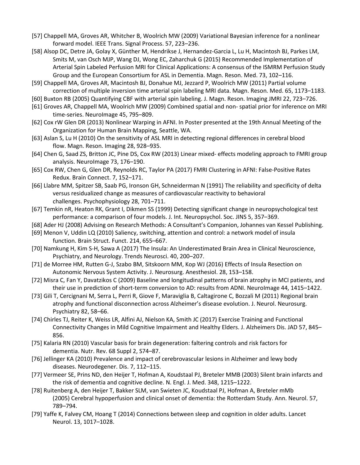- [57] Chappell MA, Groves AR, Whitcher B, Woolrich MW (2009) Variational Bayesian inference for a nonlinear forward model. IEEE Trans. Signal Process. 57, 223–236.
- [58] Alsop DC, Detre JA, Golay X, Günther M, Hendrikse J, Hernandez-Garcia L, Lu H, Macintosh BJ, Parkes LM, Smits M, van Osch MJP, Wang DJ, Wong EC, Zaharchuk G (2015) Recommended Implementation of Arterial Spin Labeled Perfusion MRI for Clinical Applications: A consensus of the ISMRM Perfusion Study Group and the European Consortium for ASL in Dementia. Magn. Reson. Med. 73, 102–116.
- [59] Chappell MA, Groves AR, Macintosh BJ, Donahue MJ, Jezzard P, Woolrich MW (2011) Partial volume correction of multiple inversion time arterial spin labeling MRI data. Magn. Reson. Med. 65, 1173–1183.
- [60] Buxton RB (2005) Quantifying CBF with arterial spin labeling. J. Magn. Reson. Imaging JMRI 22, 723–726.
- [61] Groves AR, Chappell MA, Woolrich MW (2009) Combined spatial and non- spatial prior for inference on MRI time-series. NeuroImage 45, 795–809.
- [62] Cox rW Glen DR (2013) Nonlinear Warping in AFNI. In Poster presented at the 19th Annual Meeting of the Organization for Human Brain Mapping, Seattle, WA.
- [63] Aslan S, Lu H (2010) On the sensitivity of ASL MRI in detecting regional differences in cerebral blood flow. Magn. Reson. Imaging 28, 928–935.
- [64] Chen G, Saad ZS, Britton JC, Pine DS, Cox RW (2013) Linear mixed- effects modeling approach to FMRI group analysis. NeuroImage 73, 176–190.
- [65] Cox RW, Chen G, Glen DR, Reynolds RC, Taylor PA (2017) FMRI Clustering in AFNI: False-Positive Rates Redux. Brain Connect. 7, 152–171.
- [66] Llabre MM, Spitzer SB, Saab PG, Ironson GH, Schneiderman N (1991) The reliability and specificity of delta versus residualized change as measures of cardiovascular reactivity to behavioral challenges. Psychophysiology 28, 701–711.
- [67] Temkin nR, Heaton RK, Grant I, Dikmen SS (1999) Detecting significant change in neuropsychological test performance: a comparison of four models. J. Int. Neuropsychol. Soc. JINS 5, 357–369.
- [68] Ader HJ (2008) Advising on Research Methods: A Consultant's Companion, Johannes van Kessel Publishing.
- [69] Menon V, Uddin LQ (2010) Saliency, switching, attention and control: a network model of insula function. Brain Struct. Funct. 214, 655–667.
- [70] Namkung H, Kim S-H, Sawa A (2017) The Insula: An Underestimated Brain Area in Clinical Neuroscience, Psychiatry, and Neurology. Trends Neurosci. 40, 200–207.
- [71] de Morree HM, Rutten G-J, Szabo BM, Sitskoorn MM, Kop WJ (2016) Effects of Insula Resection on Autonomic Nervous System Activity. J. Neurosurg. Anesthesiol. 28, 153–158.
- [72] Misra C, Fan Y, Davatzikos C (2009) Baseline and longitudinal patterns of brain atrophy in MCI patients, and their use in prediction of short-term conversion to AD: results from ADNI. NeuroImage 44, 1415–1422.
- [73] Gili T, Cercignani M, Serra L, Perri R, Giove F, Maraviglia B, Caltagirone C, Bozzali M (2011) Regional brain atrophy and functional disconnection across Alzheimer's disease evolution. J. Neurol. Neurosurg. Psychiatry 82, 58–66.
- [74] Chirles TJ, Reiter K, Weiss LR, Alfini AJ, Nielson KA, Smith JC (2017) Exercise Training and Functional Connectivity Changes in Mild Cognitive Impairment and Healthy Elders. J. Alzheimers Dis. JAD 57, 845– 856.
- [75] Kalaria RN (2010) Vascular basis for brain degeneration: faltering controls and risk factors for dementia. Nutr. Rev. 68 Suppl 2, S74–87.
- [76] Jellinger KA (2010) Prevalence and impact of cerebrovascular lesions in Alzheimer and lewy body diseases. Neurodegener. Dis. 7, 112–115.
- [77] Vermeer SE, Prins ND, den Heijer T, Hofman A, Koudstaal PJ, Breteler MMB (2003) Silent brain infarcts and the risk of dementia and cognitive decline. N. Engl. J. Med. 348, 1215–1222.
- [78] Ruitenberg A, den Heijer T, Bakker SLM, van Swieten JC, Koudstaal PJ, Hofman A, Breteler mMb (2005) Cerebral hypoperfusion and clinical onset of dementia: the Rotterdam Study. Ann. Neurol. 57, 789–794.
- [79] Yaffe K, Falvey CM, Hoang T (2014) Connections between sleep and cognition in older adults. Lancet Neurol. 13, 1017–1028.